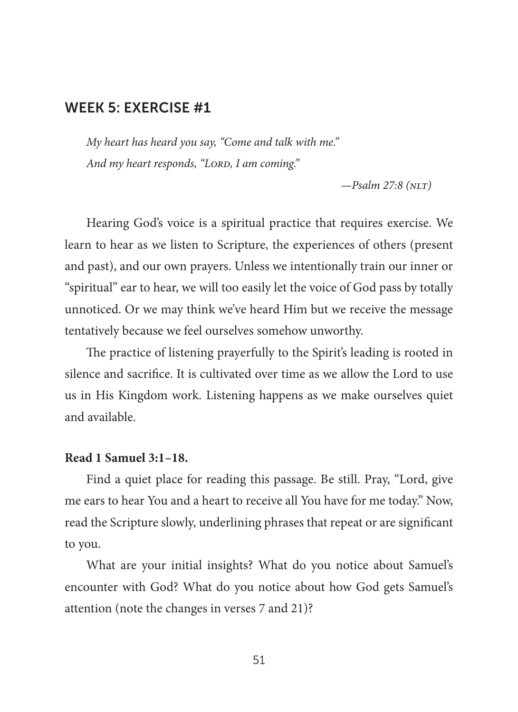*My heart has heard you say, "Come and talk with me."* And my heart responds, "LORD, I am coming."

*—Psalm 27:8 (nlt)*

Hearing God's voice is a spiritual practice that requires exercise. We learn to hear as we listen to Scripture, the experiences of others (present and past), and our own prayers. Unless we intentionally train our inner or "spiritual" ear to hear, we will too easily let the voice of God pass by totally unnoticed. Or we may think we've heard Him but we receive the message tentatively because we feel ourselves somehow unworthy.

The practice of listening prayerfully to the Spirit's leading is rooted in silence and sacrifice. It is cultivated over time as we allow the Lord to use us in His Kingdom work. Listening happens as we make ourselves quiet and available.

#### **Read 1 Samuel 3:1–18.**

Find a quiet place for reading this passage. Be still. Pray, "Lord, give me ears to hear You and a heart to receive all You have for me today." Now, read the Scripture slowly, underlining phrases that repeat or are significant to you.

What are your initial insights? What do you notice about Samuel's encounter with God? What do you notice about how God gets Samuel's attention (note the changes in verses 7 and 21)?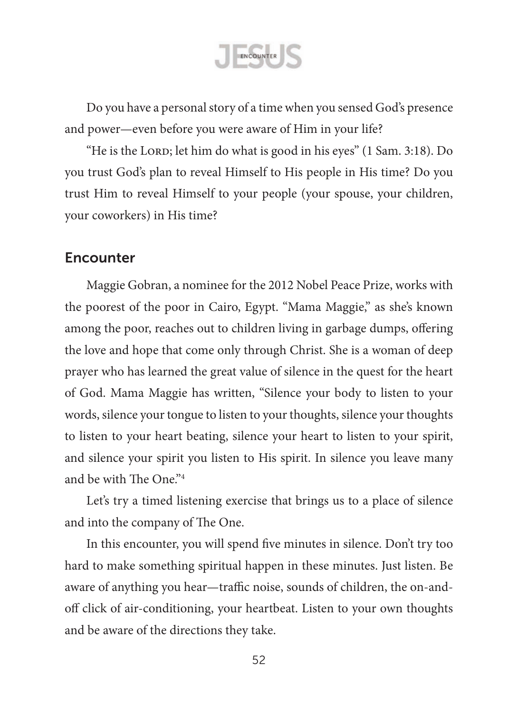ENCOUNTER

Do you have a personal story of a time when you sensed God's presence and power—even before you were aware of Him in your life?

"He is the LORD; let him do what is good in his eyes" (1 Sam. 3:18). Do you trust God's plan to reveal Himself to His people in His time? Do you trust Him to reveal Himself to your people (your spouse, your children, your coworkers) in His time?

### Encounter

Maggie Gobran, a nominee for the 2012 Nobel Peace Prize, works with the poorest of the poor in Cairo, Egypt. "Mama Maggie," as she's known among the poor, reaches out to children living in garbage dumps, offering the love and hope that come only through Christ. She is a woman of deep prayer who has learned the great value of silence in the quest for the heart of God. Mama Maggie has written, "Silence your body to listen to your words, silence your tongue to listen to your thoughts, silence your thoughts to listen to your heart beating, silence your heart to listen to your spirit, and silence your spirit you listen to His spirit. In silence you leave many and be with The One."4

Let's try a timed listening exercise that brings us to a place of silence and into the company of The One.

In this encounter, you will spend five minutes in silence. Don't try too hard to make something spiritual happen in these minutes. Just listen. Be aware of anything you hear—traffic noise, sounds of children, the on-andoff click of air-conditioning, your heartbeat. Listen to your own thoughts and be aware of the directions they take.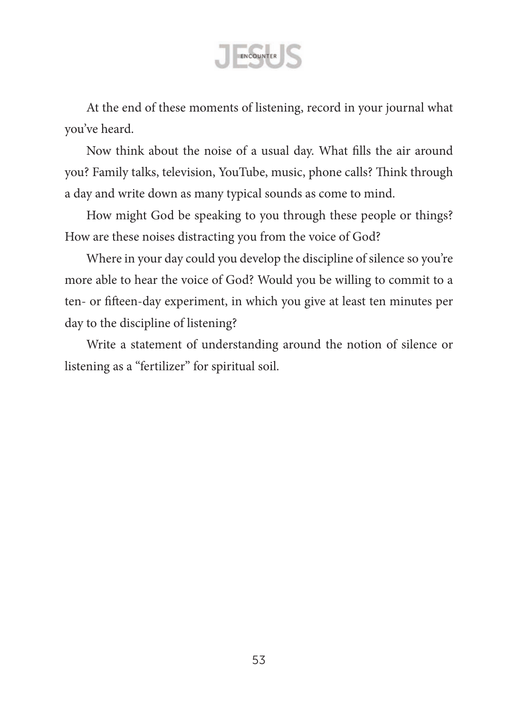

At the end of these moments of listening, record in your journal what you've heard.

Now think about the noise of a usual day. What fills the air around you? Family talks, television, YouTube, music, phone calls? Think through a day and write down as many typical sounds as come to mind.

How might God be speaking to you through these people or things? How are these noises distracting you from the voice of God?

Where in your day could you develop the discipline of silence so you're more able to hear the voice of God? Would you be willing to commit to a ten- or fifteen-day experiment, in which you give at least ten minutes per day to the discipline of listening?

Write a statement of understanding around the notion of silence or listening as a "fertilizer" for spiritual soil.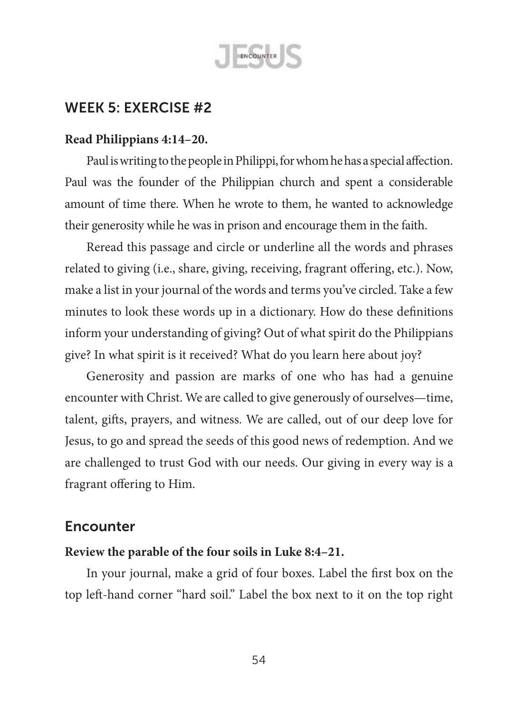

#### **Read Philippians 4:14–20.**

Paul is writing to the people in Philippi, for whom he has a special affection. Paul was the founder of the Philippian church and spent a considerable amount of time there. When he wrote to them, he wanted to acknowledge their generosity while he was in prison and encourage them in the faith.

Reread this passage and circle or underline all the words and phrases related to giving (i.e., share, giving, receiving, fragrant offering, etc.). Now, make a list in your journal of the words and terms you've circled. Take a few minutes to look these words up in a dictionary. How do these definitions inform your understanding of giving? Out of what spirit do the Philippians give? In what spirit is it received? What do you learn here about joy?

Generosity and passion are marks of one who has had a genuine encounter with Christ. We are called to give generously of ourselves—time, talent, gifts, prayers, and witness. We are called, out of our deep love for Jesus, to go and spread the seeds of this good news of redemption. And we are challenged to trust God with our needs. Our giving in every way is a fragrant offering to Him.

## Encounter

#### **Review the parable of the four soils in Luke 8:4–21.**

In your journal, make a grid of four boxes. Label the first box on the top left-hand corner "hard soil." Label the box next to it on the top right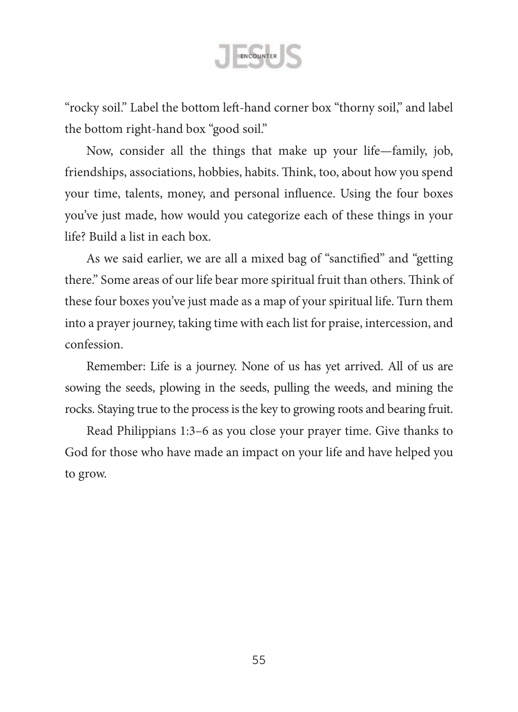

"rocky soil." Label the bottom left-hand corner box "thorny soil," and label the bottom right-hand box "good soil."

Now, consider all the things that make up your life—family, job, friendships, associations, hobbies, habits. Think, too, about how you spend your time, talents, money, and personal influence. Using the four boxes you've just made, how would you categorize each of these things in your life? Build a list in each box.

As we said earlier, we are all a mixed bag of "sanctified" and "getting there." Some areas of our life bear more spiritual fruit than others. Think of these four boxes you've just made as a map of your spiritual life. Turn them into a prayer journey, taking time with each list for praise, intercession, and confession.

Remember: Life is a journey. None of us has yet arrived. All of us are sowing the seeds, plowing in the seeds, pulling the weeds, and mining the rocks. Staying true to the process is the key to growing roots and bearing fruit.

Read Philippians 1:3–6 as you close your prayer time. Give thanks to God for those who have made an impact on your life and have helped you to grow.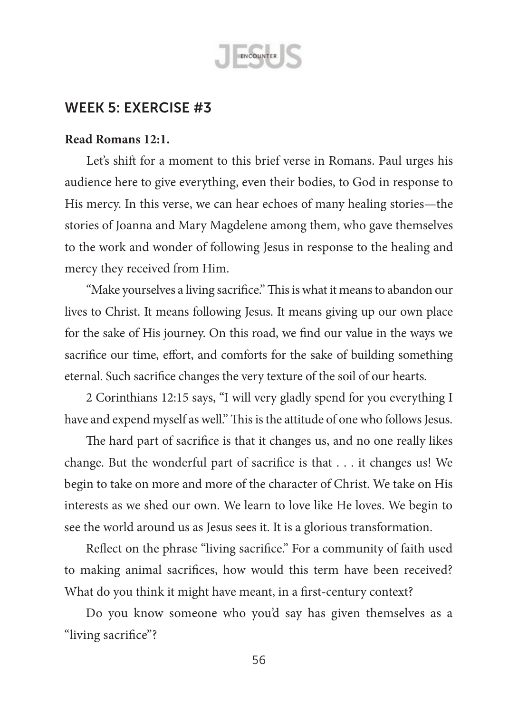

#### **Read Romans 12:1.**

Let's shift for a moment to this brief verse in Romans. Paul urges his audience here to give everything, even their bodies, to God in response to His mercy. In this verse, we can hear echoes of many healing stories—the stories of Joanna and Mary Magdelene among them, who gave themselves to the work and wonder of following Jesus in response to the healing and mercy they received from Him.

"Make yourselves a living sacrifice." This is what it means to abandon our lives to Christ. It means following Jesus. It means giving up our own place for the sake of His journey. On this road, we find our value in the ways we sacrifice our time, effort, and comforts for the sake of building something eternal. Such sacrifice changes the very texture of the soil of our hearts.

2 Corinthians 12:15 says, "I will very gladly spend for you everything I have and expend myself as well." This is the attitude of one who follows Jesus.

The hard part of sacrifice is that it changes us, and no one really likes change. But the wonderful part of sacrifice is that . . . it changes us! We begin to take on more and more of the character of Christ. We take on His interests as we shed our own. We learn to love like He loves. We begin to see the world around us as Jesus sees it. It is a glorious transformation.

Reflect on the phrase "living sacrifice." For a community of faith used to making animal sacrifices, how would this term have been received? What do you think it might have meant, in a first-century context?

Do you know someone who you'd say has given themselves as a "living sacrifice"?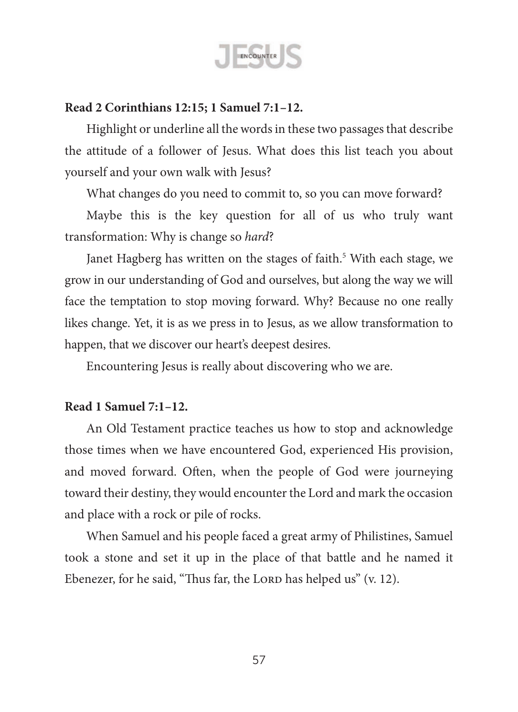

### **Read 2 Corinthians 12:15; 1 Samuel 7:1–12.**

Highlight or underline all the words in these two passages that describe the attitude of a follower of Jesus. What does this list teach you about yourself and your own walk with Jesus?

What changes do you need to commit to, so you can move forward?

Maybe this is the key question for all of us who truly want transformation: Why is change so *hard*?

Janet Hagberg has written on the stages of faith.<sup>5</sup> With each stage, we grow in our understanding of God and ourselves, but along the way we will face the temptation to stop moving forward. Why? Because no one really likes change. Yet, it is as we press in to Jesus, as we allow transformation to happen, that we discover our heart's deepest desires.

Encountering Jesus is really about discovering who we are.

### **Read 1 Samuel 7:1–12.**

An Old Testament practice teaches us how to stop and acknowledge those times when we have encountered God, experienced His provision, and moved forward. Often, when the people of God were journeying toward their destiny, they would encounter the Lord and mark the occasion and place with a rock or pile of rocks.

When Samuel and his people faced a great army of Philistines, Samuel took a stone and set it up in the place of that battle and he named it Ebenezer, for he said, "Thus far, the LORD has helped us" (v. 12).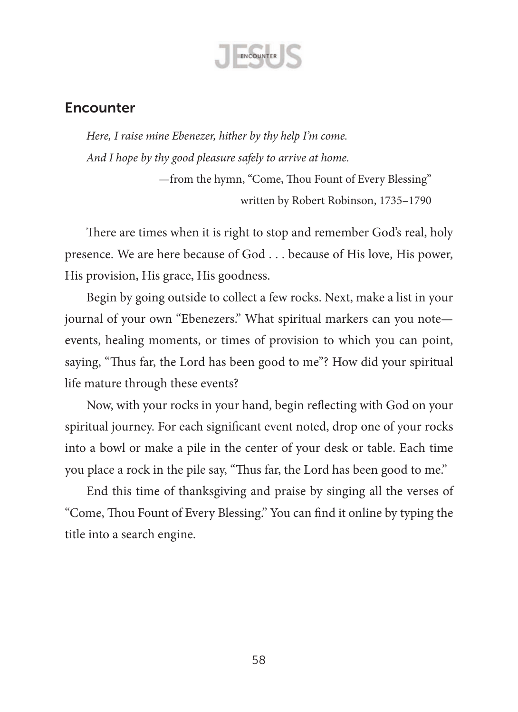

# **Encounter**

*Here, I raise mine Ebenezer, hither by thy help I'm come. And I hope by thy good pleasure safely to arrive at home.*

> —from the hymn, "Come, Thou Fount of Every Blessing" written by Robert Robinson, 1735–1790

There are times when it is right to stop and remember God's real, holy presence. We are here because of God . . . because of His love, His power, His provision, His grace, His goodness.

Begin by going outside to collect a few rocks. Next, make a list in your journal of your own "Ebenezers." What spiritual markers can you note events, healing moments, or times of provision to which you can point, saying, "Thus far, the Lord has been good to me"? How did your spiritual life mature through these events?

Now, with your rocks in your hand, begin reflecting with God on your spiritual journey. For each significant event noted, drop one of your rocks into a bowl or make a pile in the center of your desk or table. Each time you place a rock in the pile say, "Thus far, the Lord has been good to me."

End this time of thanksgiving and praise by singing all the verses of "Come, Thou Fount of Every Blessing." You can find it online by typing the title into a search engine.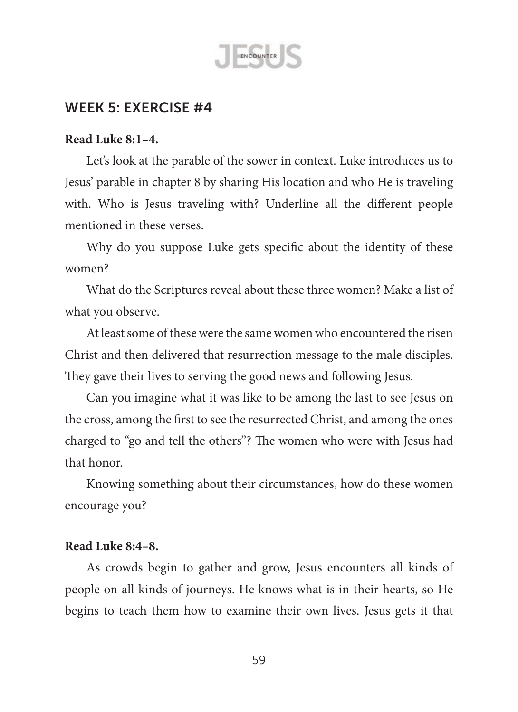

## **Read Luke 8:1–4.**

Let's look at the parable of the sower in context. Luke introduces us to Jesus' parable in chapter 8 by sharing His location and who He is traveling with. Who is Jesus traveling with? Underline all the different people mentioned in these verses.

Why do you suppose Luke gets specific about the identity of these women?

What do the Scriptures reveal about these three women? Make a list of what you observe.

At least some of these were the same women who encountered the risen Christ and then delivered that resurrection message to the male disciples. They gave their lives to serving the good news and following Jesus.

Can you imagine what it was like to be among the last to see Jesus on the cross, among the first to see the resurrected Christ, and among the ones charged to "go and tell the others"? The women who were with Jesus had that honor.

Knowing something about their circumstances, how do these women encourage you?

#### **Read Luke 8:4–8.**

As crowds begin to gather and grow, Jesus encounters all kinds of people on all kinds of journeys. He knows what is in their hearts, so He begins to teach them how to examine their own lives. Jesus gets it that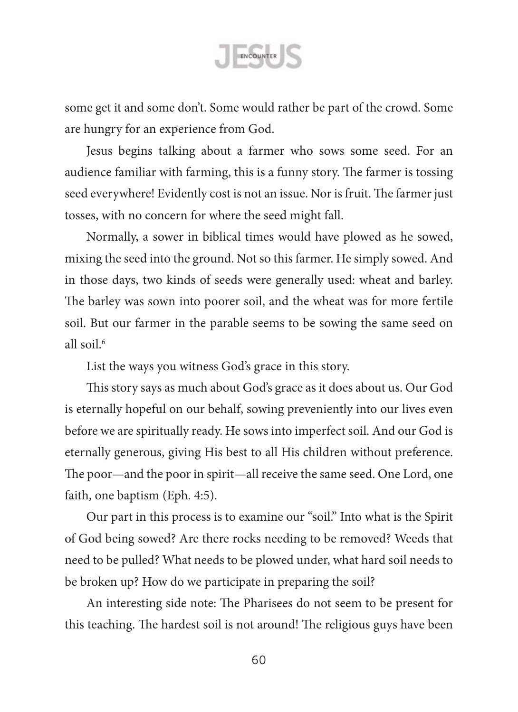

some get it and some don't. Some would rather be part of the crowd. Some are hungry for an experience from God.

Jesus begins talking about a farmer who sows some seed. For an audience familiar with farming, this is a funny story. The farmer is tossing seed everywhere! Evidently cost is not an issue. Nor is fruit. The farmer just tosses, with no concern for where the seed might fall.

Normally, a sower in biblical times would have plowed as he sowed, mixing the seed into the ground. Not so this farmer. He simply sowed. And in those days, two kinds of seeds were generally used: wheat and barley. The barley was sown into poorer soil, and the wheat was for more fertile soil. But our farmer in the parable seems to be sowing the same seed on all soil $6$ 

List the ways you witness God's grace in this story.

This story says as much about God's grace as it does about us. Our God is eternally hopeful on our behalf, sowing preveniently into our lives even before we are spiritually ready. He sows into imperfect soil. And our God is eternally generous, giving His best to all His children without preference. The poor—and the poor in spirit—all receive the same seed. One Lord, one faith, one baptism (Eph. 4:5).

Our part in this process is to examine our "soil." Into what is the Spirit of God being sowed? Are there rocks needing to be removed? Weeds that need to be pulled? What needs to be plowed under, what hard soil needs to be broken up? How do we participate in preparing the soil?

An interesting side note: The Pharisees do not seem to be present for this teaching. The hardest soil is not around! The religious guys have been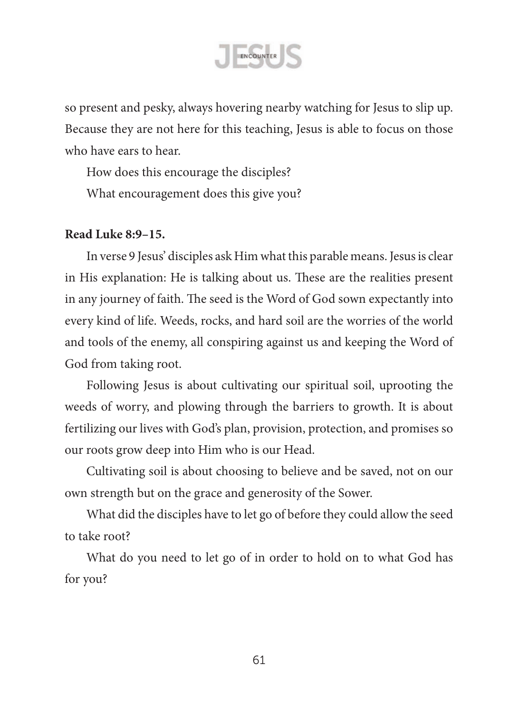

so present and pesky, always hovering nearby watching for Jesus to slip up. Because they are not here for this teaching, Jesus is able to focus on those who have ears to hear.

How does this encourage the disciples? What encouragement does this give you?

### **Read Luke 8:9–15.**

In verse 9 Jesus' disciples ask Him what this parable means. Jesus is clear in His explanation: He is talking about us. These are the realities present in any journey of faith. The seed is the Word of God sown expectantly into every kind of life. Weeds, rocks, and hard soil are the worries of the world and tools of the enemy, all conspiring against us and keeping the Word of God from taking root.

Following Jesus is about cultivating our spiritual soil, uprooting the weeds of worry, and plowing through the barriers to growth. It is about fertilizing our lives with God's plan, provision, protection, and promises so our roots grow deep into Him who is our Head.

Cultivating soil is about choosing to believe and be saved, not on our own strength but on the grace and generosity of the Sower.

What did the disciples have to let go of before they could allow the seed to take root?

What do you need to let go of in order to hold on to what God has for you?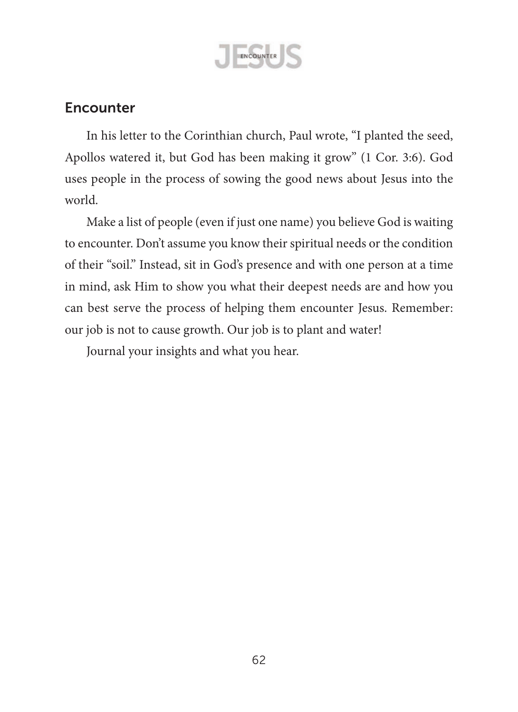

# **Encounter**

In his letter to the Corinthian church, Paul wrote, "I planted the seed, Apollos watered it, but God has been making it grow" (1 Cor. 3:6). God uses people in the process of sowing the good news about Jesus into the world.

Make a list of people (even if just one name) you believe God is waiting to encounter. Don't assume you know their spiritual needs or the condition of their "soil." Instead, sit in God's presence and with one person at a time in mind, ask Him to show you what their deepest needs are and how you can best serve the process of helping them encounter Jesus. Remember: our job is not to cause growth. Our job is to plant and water!

Journal your insights and what you hear.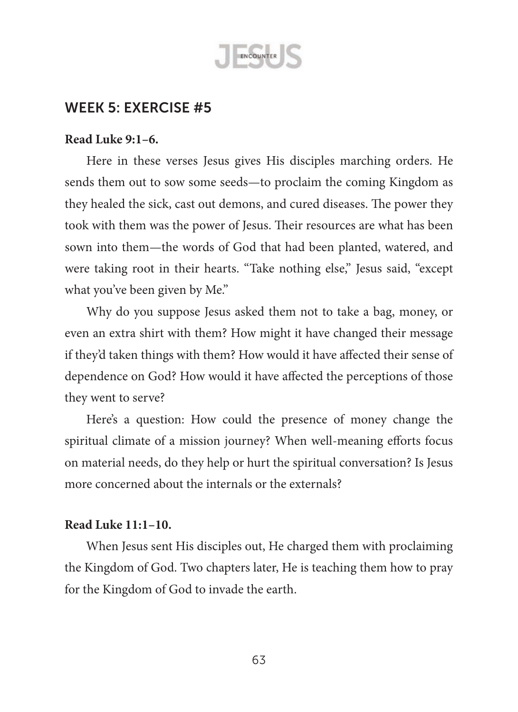

#### **Read Luke 9:1–6.**

Here in these verses Jesus gives His disciples marching orders. He sends them out to sow some seeds—to proclaim the coming Kingdom as they healed the sick, cast out demons, and cured diseases. The power they took with them was the power of Jesus. Their resources are what has been sown into them—the words of God that had been planted, watered, and were taking root in their hearts. "Take nothing else," Jesus said, "except what you've been given by Me."

Why do you suppose Jesus asked them not to take a bag, money, or even an extra shirt with them? How might it have changed their message if they'd taken things with them? How would it have affected their sense of dependence on God? How would it have affected the perceptions of those they went to serve?

Here's a question: How could the presence of money change the spiritual climate of a mission journey? When well-meaning efforts focus on material needs, do they help or hurt the spiritual conversation? Is Jesus more concerned about the internals or the externals?

### **Read Luke 11:1–10.**

When Jesus sent His disciples out, He charged them with proclaiming the Kingdom of God. Two chapters later, He is teaching them how to pray for the Kingdom of God to invade the earth.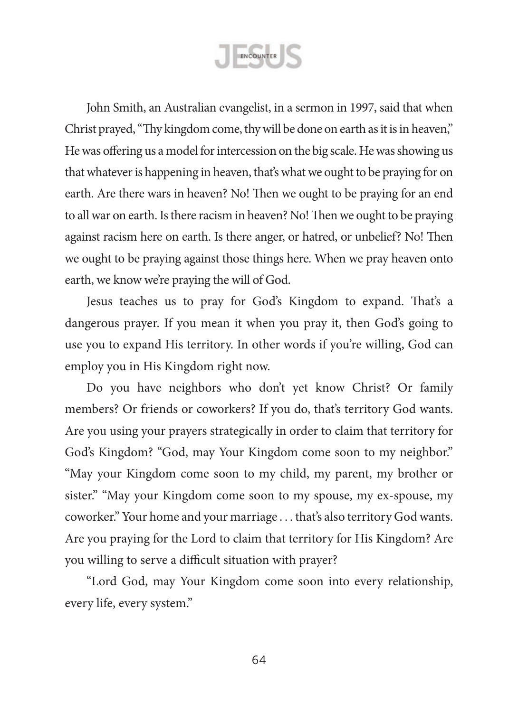ENCOUNTER

John Smith, an Australian evangelist, in a sermon in 1997, said that when Christ prayed, "Thy kingdom come, thy will be done on earth as it is in heaven," He was offering us a model for intercession on the big scale. He was showing us that whatever is happening in heaven, that's what we ought to be praying for on earth. Are there wars in heaven? No! Then we ought to be praying for an end to all war on earth. Is there racism in heaven? No! Then we ought to be praying against racism here on earth. Is there anger, or hatred, or unbelief? No! Then we ought to be praying against those things here. When we pray heaven onto earth, we know we're praying the will of God.

Jesus teaches us to pray for God's Kingdom to expand. That's a dangerous prayer. If you mean it when you pray it, then God's going to use you to expand His territory. In other words if you're willing, God can employ you in His Kingdom right now.

Do you have neighbors who don't yet know Christ? Or family members? Or friends or coworkers? If you do, that's territory God wants. Are you using your prayers strategically in order to claim that territory for God's Kingdom? "God, may Your Kingdom come soon to my neighbor." "May your Kingdom come soon to my child, my parent, my brother or sister." "May your Kingdom come soon to my spouse, my ex-spouse, my coworker." Your home and your marriage . . . that's also territory God wants. Are you praying for the Lord to claim that territory for His Kingdom? Are you willing to serve a difficult situation with prayer?

"Lord God, may Your Kingdom come soon into every relationship, every life, every system."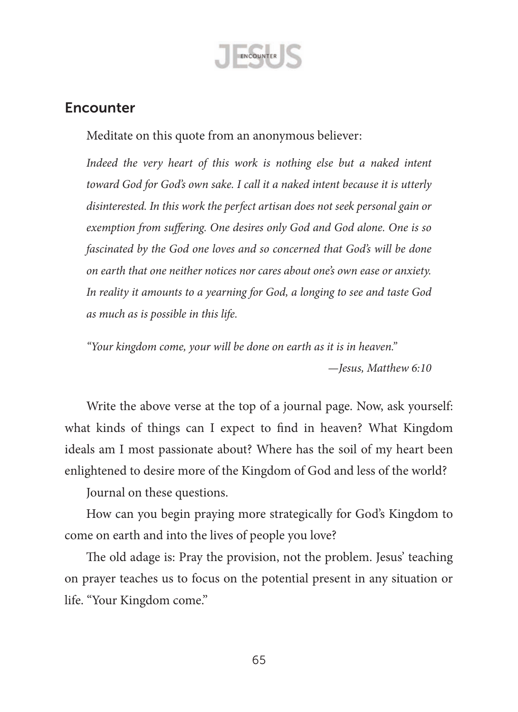

## **Encounter**

Meditate on this quote from an anonymous believer:

*Indeed the very heart of this work is nothing else but a naked intent toward God for God's own sake. I call it a naked intent because it is utterly disinterested. In this work the perfect artisan does not seek personal gain or exemption from suffering. One desires only God and God alone. One is so fascinated by the God one loves and so concerned that God's will be done on earth that one neither notices nor cares about one's own ease or anxiety. In reality it amounts to a yearning for God, a longing to see and taste God as much as is possible in this life.*

*"Your kingdom come, your will be done on earth as it is in heaven."*

*—Jesus, Matthew 6:10*

Write the above verse at the top of a journal page. Now, ask yourself: what kinds of things can I expect to find in heaven? What Kingdom ideals am I most passionate about? Where has the soil of my heart been enlightened to desire more of the Kingdom of God and less of the world?

Journal on these questions.

How can you begin praying more strategically for God's Kingdom to come on earth and into the lives of people you love?

The old adage is: Pray the provision, not the problem. Jesus' teaching on prayer teaches us to focus on the potential present in any situation or life. "Your Kingdom come."